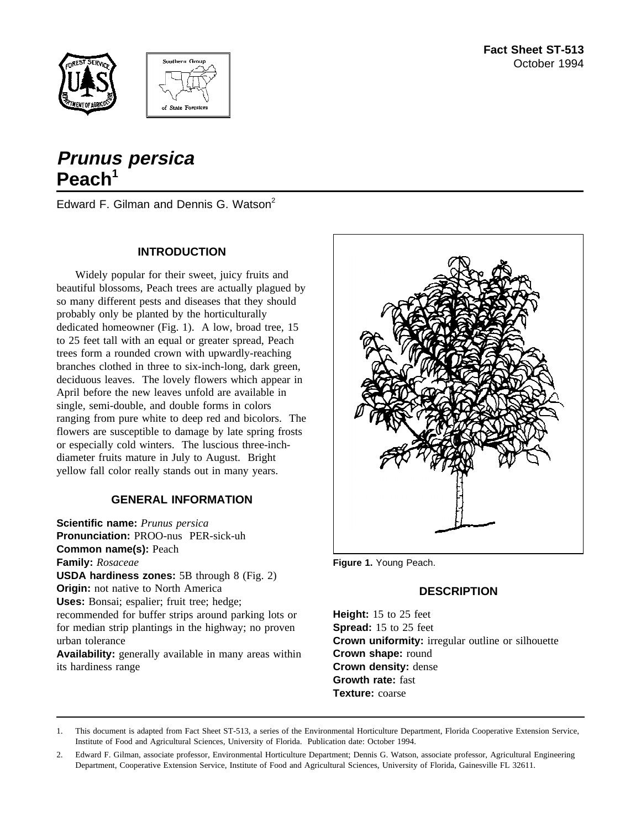



# **Prunus persica Peach<sup>1</sup>**

Edward F. Gilman and Dennis G. Watson<sup>2</sup>

## **INTRODUCTION**

Widely popular for their sweet, juicy fruits and beautiful blossoms, Peach trees are actually plagued by so many different pests and diseases that they should probably only be planted by the horticulturally dedicated homeowner (Fig. 1). A low, broad tree, 15 to 25 feet tall with an equal or greater spread, Peach trees form a rounded crown with upwardly-reaching branches clothed in three to six-inch-long, dark green, deciduous leaves. The lovely flowers which appear in April before the new leaves unfold are available in single, semi-double, and double forms in colors ranging from pure white to deep red and bicolors. The flowers are susceptible to damage by late spring frosts or especially cold winters. The luscious three-inchdiameter fruits mature in July to August. Bright yellow fall color really stands out in many years.

# **GENERAL INFORMATION**

**Scientific name:** *Prunus persica* **Pronunciation:** PROO-nus PER-sick-uh **Common name(s):** Peach **Family:** *Rosaceae* **USDA hardiness zones:** 5B through 8 (Fig. 2) **Origin:** not native to North America **Uses:** Bonsai; espalier; fruit tree; hedge; recommended for buffer strips around parking lots or for median strip plantings in the highway; no proven urban tolerance **Availability:** generally available in many areas within

its hardiness range



**Figure 1.** Young Peach.

## **DESCRIPTION**

**Height:** 15 to 25 feet **Spread:** 15 to 25 feet **Crown uniformity:** irregular outline or silhouette **Crown shape:** round **Crown density:** dense **Growth rate:** fast **Texture:** coarse

1. This document is adapted from Fact Sheet ST-513, a series of the Environmental Horticulture Department, Florida Cooperative Extension Service, Institute of Food and Agricultural Sciences, University of Florida. Publication date: October 1994.

2. Edward F. Gilman, associate professor, Environmental Horticulture Department; Dennis G. Watson, associate professor, Agricultural Engineering Department, Cooperative Extension Service, Institute of Food and Agricultural Sciences, University of Florida, Gainesville FL 32611.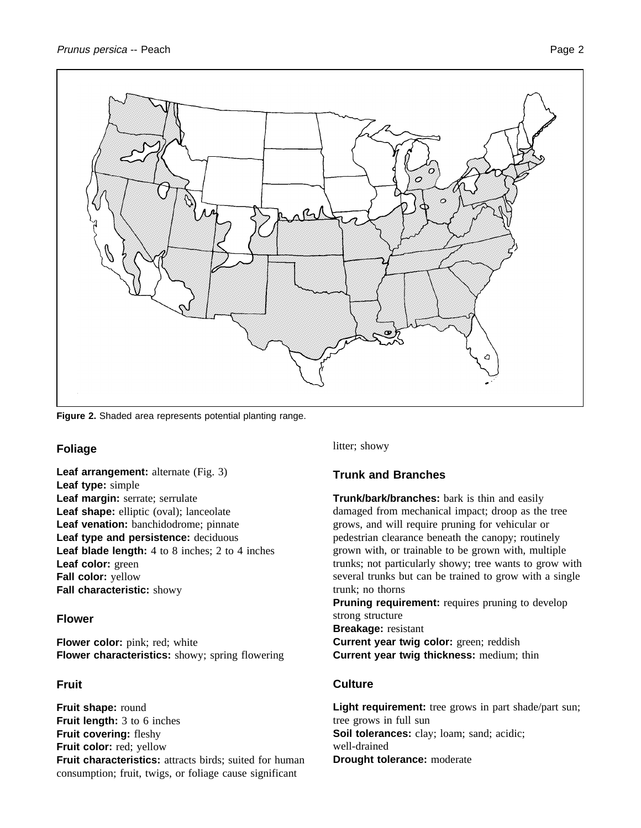

**Figure 2.** Shaded area represents potential planting range.

## **Foliage**

**Leaf arrangement:** alternate (Fig. 3) **Leaf type:** simple **Leaf margin:** serrate; serrulate Leaf shape: elliptic (oval); lanceolate **Leaf venation:** banchidodrome; pinnate **Leaf type and persistence:** deciduous **Leaf blade length:** 4 to 8 inches; 2 to 4 inches **Leaf color:** green **Fall color:** yellow **Fall characteristic:** showy

## **Flower**

**Flower color:** pink; red; white **Flower characteristics:** showy; spring flowering

## **Fruit**

**Fruit shape:** round **Fruit length:** 3 to 6 inches **Fruit covering:** fleshy **Fruit color:** red; yellow **Fruit characteristics:** attracts birds; suited for human consumption; fruit, twigs, or foliage cause significant

litter; showy

# **Trunk and Branches**

**Trunk/bark/branches:** bark is thin and easily damaged from mechanical impact; droop as the tree grows, and will require pruning for vehicular or pedestrian clearance beneath the canopy; routinely grown with, or trainable to be grown with, multiple trunks; not particularly showy; tree wants to grow with several trunks but can be trained to grow with a single trunk; no thorns

**Pruning requirement:** requires pruning to develop strong structure **Breakage:** resistant **Current year twig color:** green; reddish **Current year twig thickness:** medium; thin

## **Culture**

Light requirement: tree grows in part shade/part sun; tree grows in full sun **Soil tolerances:** clay; loam; sand; acidic; well-drained **Drought tolerance:** moderate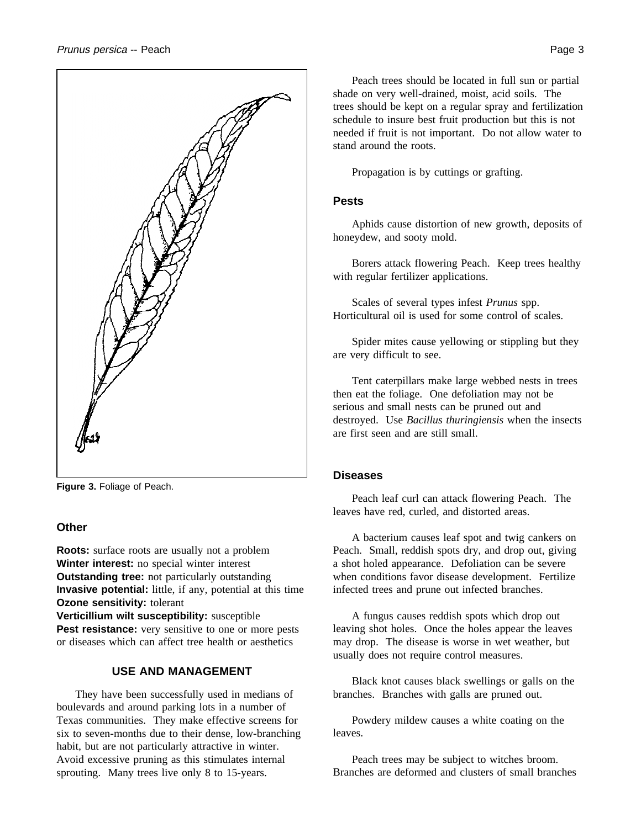

**Figure 3.** Foliage of Peach.

## **Other**

**Roots:** surface roots are usually not a problem **Winter interest:** no special winter interest **Outstanding tree:** not particularly outstanding **Invasive potential:** little, if any, potential at this time **Ozone sensitivity:** tolerant

**Verticillium wilt susceptibility:** susceptible Pest resistance: very sensitive to one or more pests or diseases which can affect tree health or aesthetics

## **USE AND MANAGEMENT**

They have been successfully used in medians of boulevards and around parking lots in a number of Texas communities. They make effective screens for six to seven-months due to their dense, low-branching habit, but are not particularly attractive in winter. Avoid excessive pruning as this stimulates internal sprouting. Many trees live only 8 to 15-years.

Peach trees should be located in full sun or partial shade on very well-drained, moist, acid soils. The trees should be kept on a regular spray and fertilization schedule to insure best fruit production but this is not needed if fruit is not important. Do not allow water to stand around the roots.

Propagation is by cuttings or grafting.

## **Pests**

Aphids cause distortion of new growth, deposits of honeydew, and sooty mold.

Borers attack flowering Peach. Keep trees healthy with regular fertilizer applications.

Scales of several types infest *Prunus* spp. Horticultural oil is used for some control of scales.

Spider mites cause yellowing or stippling but they are very difficult to see.

Tent caterpillars make large webbed nests in trees then eat the foliage. One defoliation may not be serious and small nests can be pruned out and destroyed. Use *Bacillus thuringiensis* when the insects are first seen and are still small.

#### **Diseases**

Peach leaf curl can attack flowering Peach. The leaves have red, curled, and distorted areas.

A bacterium causes leaf spot and twig cankers on Peach. Small, reddish spots dry, and drop out, giving a shot holed appearance. Defoliation can be severe when conditions favor disease development. Fertilize infected trees and prune out infected branches.

A fungus causes reddish spots which drop out leaving shot holes. Once the holes appear the leaves may drop. The disease is worse in wet weather, but usually does not require control measures.

Black knot causes black swellings or galls on the branches. Branches with galls are pruned out.

Powdery mildew causes a white coating on the leaves.

Peach trees may be subject to witches broom. Branches are deformed and clusters of small branches